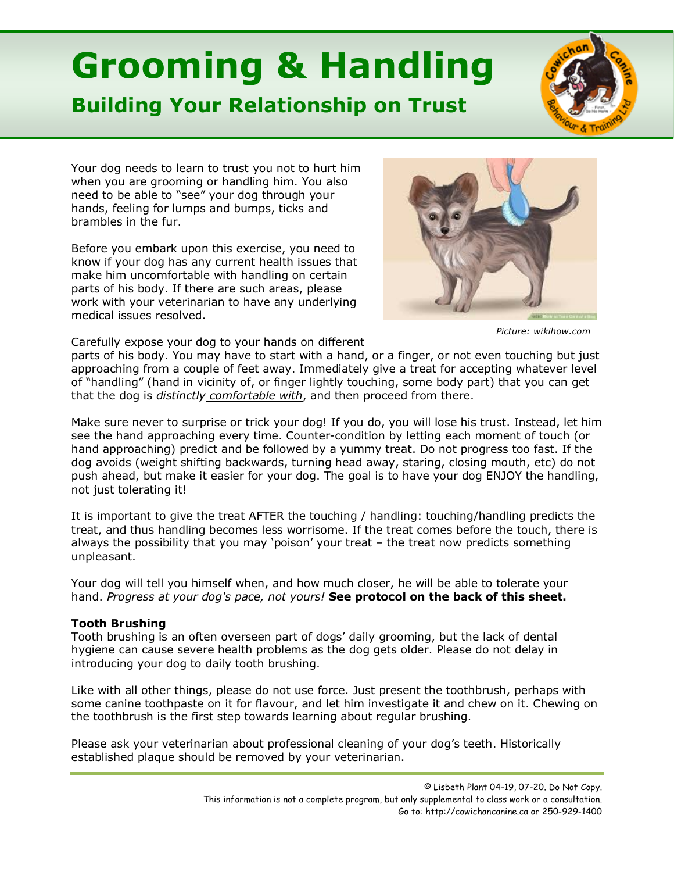## **Grooming & Handling**

## **Building Your Relationship on Trust**



Your dog needs to learn to trust you not to hurt him when you are grooming or handling him. You also need to be able to "see" your dog through your hands, feeling for lumps and bumps, ticks and brambles in the fur.

Before you embark upon this exercise, you need to know if your dog has any current health issues that make him uncomfortable with handling on certain parts of his body. If there are such areas, please work with your veterinarian to have any underlying medical issues resolved.



*Picture: wikihow.com*

Carefully expose your dog to your hands on different

parts of his body. You may have to start with a hand, or a finger, or not even touching but just approaching from a couple of feet away. Immediately give a treat for accepting whatever level of "handling" (hand in vicinity of, or finger lightly touching, some body part) that you can get that the dog is *distinctly comfortable with*, and then proceed from there.

Make sure never to surprise or trick your dog! If you do, you will lose his trust. Instead, let him see the hand approaching every time. Counter-condition by letting each moment of touch (or hand approaching) predict and be followed by a yummy treat. Do not progress too fast. If the dog avoids (weight shifting backwards, turning head away, staring, closing mouth, etc) do not push ahead, but make it easier for your dog. The goal is to have your dog ENJOY the handling, not just tolerating it!

It is important to give the treat AFTER the touching / handling: touching/handling predicts the treat, and thus handling becomes less worrisome. If the treat comes before the touch, there is always the possibility that you may 'poison' your treat – the treat now predicts something unpleasant.

Your dog will tell you himself when, and how much closer, he will be able to tolerate your hand. *Progress at your dog's pace, not yours!* **See protocol on the back of this sheet.**

## **Tooth Brushing**

Tooth brushing is an often overseen part of dogs' daily grooming, but the lack of dental hygiene can cause severe health problems as the dog gets older. Please do not delay in introducing your dog to daily tooth brushing.

Like with all other things, please do not use force. Just present the toothbrush, perhaps with some canine toothpaste on it for flavour, and let him investigate it and chew on it. Chewing on the toothbrush is the first step towards learning about regular brushing.

Please ask your veterinarian about professional cleaning of your dog's teeth. Historically established plaque should be removed by your veterinarian.